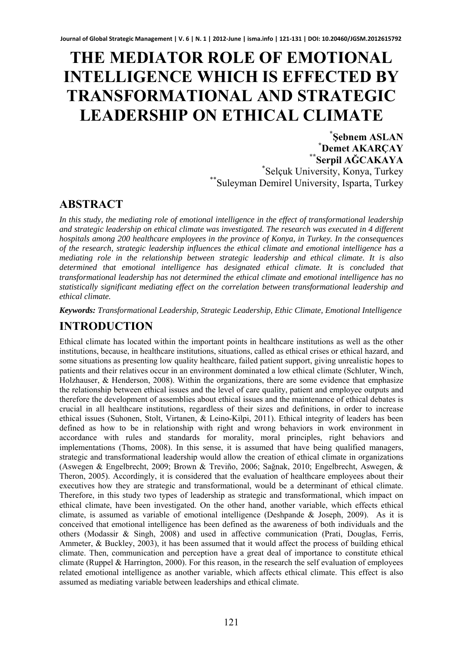# **THE MEDIATOR ROLE OF EMOTIONAL INTELLIGENCE WHICH IS EFFECTED BY TRANSFORMATIONAL AND STRATEGIC LEADERSHIP ON ETHICAL CLIMATE**<br>\*Sebnem ASLAN

**<sup>Ş</sup>ebnem ASLAN \* Demet AKARÇAY \*\*Serpil AĞCAKAYA** \* \*Selçuk University, Konya, Turkey<br>\*\*Suleyman Demirel University, Isparta, Turkey

# **ABSTRACT**

*In this study, the mediating role of emotional intelligence in the effect of transformational leadership and strategic leadership on ethical climate was investigated. The research was executed in 4 different hospitals among 200 healthcare employees in the province of Konya, in Turkey. In the consequences of the research, strategic leadership influences the ethical climate and emotional intelligence has a mediating role in the relationship between strategic leadership and ethical climate. It is also determined that emotional intelligence has designated ethical climate. It is concluded that transformational leadership has not determined the ethical climate and emotional intelligence has no statistically significant mediating effect on the correlation between transformational leadership and ethical climate.* 

*Keywords: Transformational Leadership, Strategic Leadership, Ethic Climate, Emotional Intelligence* 

# **INTRODUCTION**

Ethical climate has located within the important points in healthcare institutions as well as the other institutions, because, in healthcare institutions, situations, called as ethical crises or ethical hazard, and some situations as presenting low quality healthcare, failed patient support, giving unrealistic hopes to patients and their relatives occur in an environment dominated a low ethical climate (Schluter, Winch, Holzhauser, & Henderson, 2008). Within the organizations, there are some evidence that emphasize the relationship between ethical issues and the level of care quality, patient and employee outputs and therefore the development of assemblies about ethical issues and the maintenance of ethical debates is crucial in all healthcare institutions, regardless of their sizes and definitions, in order to increase ethical issues (Suhonen, Stolt, Virtanen, & Leino-Kilpi, 2011). Ethical integrity of leaders has been defined as how to be in relationship with right and wrong behaviors in work environment in accordance with rules and standards for morality, moral principles, right behaviors and implementations (Thoms, 2008). In this sense, it is assumed that have being qualified managers, strategic and transformational leadership would allow the creation of ethical climate in organizations (Aswegen & Engelbrecht, 2009; Brown & Treviño, 2006; Sağnak, 2010; Engelbrecht, Aswegen, & Theron, 2005). Accordingly, it is considered that the evaluation of healthcare employees about their executives how they are strategic and transformational, would be a determinant of ethical climate. Therefore, in this study two types of leadership as strategic and transformational, which impact on ethical climate, have been investigated. On the other hand, another variable, which effects ethical climate, is assumed as variable of emotional intelligence (Deshpande & Joseph, 2009). As it is conceived that emotional intelligence has been defined as the awareness of both individuals and the others (Modassir & Singh, 2008) and used in affective communication (Prati, Douglas, Ferris, Ammeter, & Buckley, 2003), it has been assumed that it would affect the process of building ethical climate. Then, communication and perception have a great deal of importance to constitute ethical climate (Ruppel & Harrington, 2000). For this reason, in the research the self evaluation of employees related emotional intelligence as another variable, which affects ethical climate. This effect is also assumed as mediating variable between leaderships and ethical climate.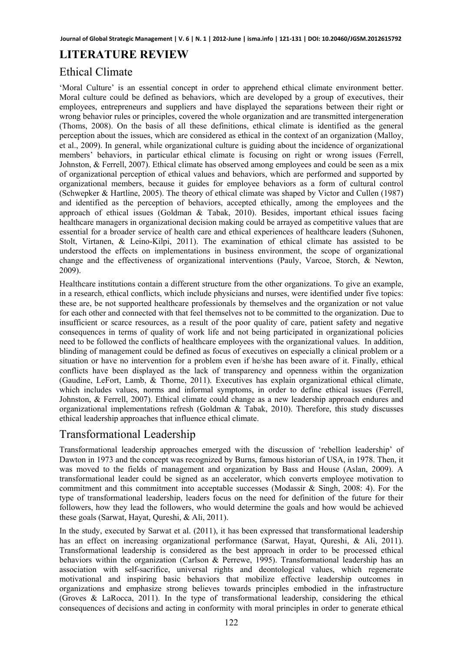# **LITERATURE REVIEW**

## Ethical Climate

'Moral Culture' is an essential concept in order to apprehend ethical climate environment better. Moral culture could be defined as behaviors, which are developed by a group of executives, their employees, entrepreneurs and suppliers and have displayed the separations between their right or wrong behavior rules or principles, covered the whole organization and are transmitted intergeneration (Thoms, 2008). On the basis of all these definitions, ethical climate is identified as the general perception about the issues, which are considered as ethical in the context of an organization (Malloy, et al., 2009). In general, while organizational culture is guiding about the incidence of organizational members' behaviors, in particular ethical climate is focusing on right or wrong issues (Ferrell, Johnston, & Ferrell, 2007). Ethical climate has observed among employees and could be seen as a mix of organizational perception of ethical values and behaviors, which are performed and supported by organizational members, because it guides for employee behaviors as a form of cultural control (Schwepker & Hartline, 2005). The theory of ethical climate was shaped by Victor and Cullen (1987) and identified as the perception of behaviors, accepted ethically, among the employees and the approach of ethical issues (Goldman & Tabak, 2010). Besides, important ethical issues facing healthcare managers in organizational decision making could be arrayed as competitive values that are essential for a broader service of health care and ethical experiences of healthcare leaders (Suhonen, Stolt, Virtanen, & Leino-Kilpi, 2011). The examination of ethical climate has assisted to be understood the effects on implementations in business environment, the scope of organizational change and the effectiveness of organizational interventions (Pauly, Varcoe, Storch, & Newton, 2009).

Healthcare institutions contain a different structure from the other organizations. To give an example, in a research, ethical conflicts, which include physicians and nurses, were identified under five topics: these are, be not supported healthcare professionals by themselves and the organization or not value for each other and connected with that feel themselves not to be committed to the organization. Due to insufficient or scarce resources, as a result of the poor quality of care, patient safety and negative consequences in terms of quality of work life and not being participated in organizational policies need to be followed the conflicts of healthcare employees with the organizational values. In addition, blinding of management could be defined as focus of executives on especially a clinical problem or a situation or have no intervention for a problem even if he/she has been aware of it. Finally, ethical conflicts have been displayed as the lack of transparency and openness within the organization (Gaudine, LeFort, Lamb, & Thorne, 2011). Executives has explain organizational ethical climate, which includes values, norms and informal symptoms, in order to define ethical issues (Ferrell, Johnston, & Ferrell, 2007). Ethical climate could change as a new leadership approach endures and organizational implementations refresh (Goldman & Tabak, 2010). Therefore, this study discusses ethical leadership approaches that influence ethical climate.

## Transformational Leadership

Transformational leadership approaches emerged with the discussion of 'rebellion leadership' of Dawton in 1973 and the concept was recognized by Burns, famous historian of USA, in 1978. Then, it was moved to the fields of management and organization by Bass and House (Aslan, 2009). A transformational leader could be signed as an accelerator, which converts employee motivation to commitment and this commitment into acceptable successes (Modassir & Singh, 2008: 4). For the type of transformational leadership, leaders focus on the need for definition of the future for their followers, how they lead the followers, who would determine the goals and how would be achieved these goals (Sarwat, Hayat, Qureshi, & Ali, 2011).

In the study, executed by Sarwat et al. (2011), it has been expressed that transformational leadership has an effect on increasing organizational performance (Sarwat, Hayat, Qureshi, & Ali, 2011). Transformational leadership is considered as the best approach in order to be processed ethical behaviors within the organization (Carlson & Perrewe, 1995). Transformational leadership has an association with self-sacrifice, universal rights and deontological values, which regenerate motivational and inspiring basic behaviors that mobilize effective leadership outcomes in organizations and emphasize strong believes towards principles embodied in the infrastructure (Groves & LaRocca, 2011). In the type of transformational leadership, considering the ethical consequences of decisions and acting in conformity with moral principles in order to generate ethical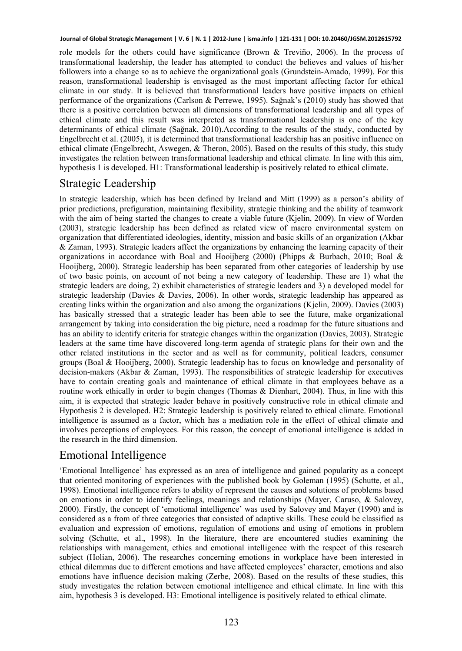role models for the others could have significance (Brown  $\&$  Treviño, 2006). In the process of transformational leadership, the leader has attempted to conduct the believes and values of his/her followers into a change so as to achieve the organizational goals (Grundstein-Amado, 1999). For this reason, transformational leadership is envisaged as the most important affecting factor for ethical climate in our study. It is believed that transformational leaders have positive impacts on ethical performance of the organizations (Carlson & Perrewe, 1995). Sağnak's (2010) study has showed that there is a positive correlation between all dimensions of transformational leadership and all types of ethical climate and this result was interpreted as transformational leadership is one of the key determinants of ethical climate (Sağnak, 2010).According to the results of the study, conducted by Engelbrecht et al. (2005), it is determined that transformational leadership has an positive influence on ethical climate (Engelbrecht, Aswegen, & Theron, 2005). Based on the results of this study, this study investigates the relation between transformational leadership and ethical climate. In line with this aim, hypothesis 1 is developed. H1: Transformational leadership is positively related to ethical climate.

# Strategic Leadership

In strategic leadership, which has been defined by Ireland and Mitt (1999) as a person's ability of prior predictions, prefiguration, maintaining flexibility, strategic thinking and the ability of teamwork with the aim of being started the changes to create a viable future (Kjelin, 2009). In view of Worden (2003), strategic leadership has been defined as related view of macro environmental system on organization that differentiated ideologies, identity, mission and basic skills of an organization (Akbar & Zaman, 1993). Strategic leaders affect the organizations by enhancing the learning capacity of their organizations in accordance with Boal and Hooijberg (2000) (Phipps & Burbach, 2010; Boal & Hooijberg, 2000). Strategic leadership has been separated from other categories of leadership by use of two basic points, on account of not being a new category of leadership. These are 1) what the strategic leaders are doing, 2) exhibit characteristics of strategic leaders and 3) a developed model for strategic leadership (Davies & Davies, 2006). In other words, strategic leadership has appeared as creating links within the organization and also among the organizations (Kjelin, 2009). Davies (2003) has basically stressed that a strategic leader has been able to see the future, make organizational arrangement by taking into consideration the big picture, need a roadmap for the future situations and has an ability to identify criteria for strategic changes within the organization (Davies, 2003). Strategic leaders at the same time have discovered long-term agenda of strategic plans for their own and the other related institutions in the sector and as well as for community, political leaders, consumer groups (Boal & Hooijberg, 2000). Strategic leadership has to focus on knowledge and personality of decision-makers (Akbar & Zaman, 1993). The responsibilities of strategic leadership for executives have to contain creating goals and maintenance of ethical climate in that employees behave as a routine work ethically in order to begin changes (Thomas & Dienhart, 2004). Thus, in line with this aim, it is expected that strategic leader behave in positively constructive role in ethical climate and Hypothesis 2 is developed. H2: Strategic leadership is positively related to ethical climate. Emotional intelligence is assumed as a factor, which has a mediation role in the effect of ethical climate and involves perceptions of employees. For this reason, the concept of emotional intelligence is added in the research in the third dimension.

# Emotional Intelligence

'Emotional Intelligence' has expressed as an area of intelligence and gained popularity as a concept that oriented monitoring of experiences with the published book by Goleman (1995) (Schutte, et al., 1998). Emotional intelligence refers to ability of represent the causes and solutions of problems based on emotions in order to identify feelings, meanings and relationships (Mayer, Caruso, & Salovey, 2000). Firstly, the concept of 'emotional intelligence' was used by Salovey and Mayer (1990) and is considered as a from of three categories that consisted of adaptive skills. These could be classified as evaluation and expression of emotions, regulation of emotions and using of emotions in problem solving (Schutte, et al., 1998). In the literature, there are encountered studies examining the relationships with management, ethics and emotional intelligence with the respect of this research subject (Holian, 2006). The researches concerning emotions in workplace have been interested in ethical dilemmas due to different emotions and have affected employees' character, emotions and also emotions have influence decision making (Zerbe, 2008). Based on the results of these studies, this study investigates the relation between emotional intelligence and ethical climate. In line with this aim, hypothesis 3 is developed. H3: Emotional intelligence is positively related to ethical climate.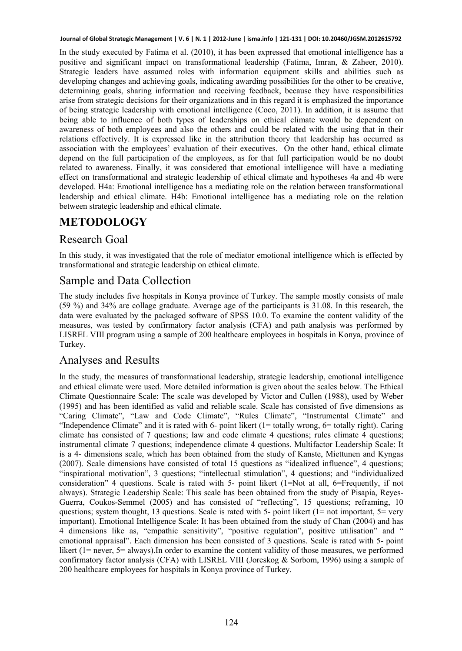In the study executed by Fatima et al. (2010), it has been expressed that emotional intelligence has a positive and significant impact on transformational leadership (Fatima, Imran, & Zaheer, 2010). Strategic leaders have assumed roles with information equipment skills and abilities such as developing changes and achieving goals, indicating awarding possibilities for the other to be creative, determining goals, sharing information and receiving feedback, because they have responsibilities arise from strategic decisions for their organizations and in this regard it is emphasized the importance of being strategic leadership with emotional intelligence (Coco, 2011). In addition, it is assume that being able to influence of both types of leaderships on ethical climate would be dependent on awareness of both employees and also the others and could be related with the using that in their relations effectively. It is expressed like in the attribution theory that leadership has occurred as association with the employees' evaluation of their executives. On the other hand, ethical climate depend on the full participation of the employees, as for that full participation would be no doubt related to awareness. Finally, it was considered that emotional intelligence will have a mediating effect on transformational and strategic leadership of ethical climate and hypotheses 4a and 4b were developed. H4a: Emotional intelligence has a mediating role on the relation between transformational leadership and ethical climate. H4b: Emotional intelligence has a mediating role on the relation between strategic leadership and ethical climate.

# **METODOLOGY**

## Research Goal

In this study, it was investigated that the role of mediator emotional intelligence which is effected by transformational and strategic leadership on ethical climate.

## Sample and Data Collection

The study includes five hospitals in Konya province of Turkey. The sample mostly consists of male (59 %) and 34% are collage graduate. Average age of the participants is 31.08. In this research, the data were evaluated by the packaged software of SPSS 10.0. To examine the content validity of the measures, was tested by confirmatory factor analysis (CFA) and path analysis was performed by LISREL VIII program using a sample of 200 healthcare employees in hospitals in Konya, province of Turkey.

## Analyses and Results

In the study, the measures of transformational leadership, strategic leadership, emotional intelligence and ethical climate were used. More detailed information is given about the scales below. The Ethical Climate Questionnaire Scale: The scale was developed by Victor and Cullen (1988), used by Weber (1995) and has been identified as valid and reliable scale. Scale has consisted of five dimensions as "Caring Climate", "Law and Code Climate", "Rules Climate", "Instrumental Climate" and "Independence Climate" and it is rated with 6- point likert (1= totally wrong, 6= totally right). Caring climate has consisted of 7 questions; law and code climate 4 questions; rules climate 4 questions; instrumental climate 7 questions; independence climate 4 questions. Multifactor Leadership Scale: It is a 4- dimensions scale, which has been obtained from the study of Kanste, Miettunen and Kyngas (2007). Scale dimensions have consisted of total 15 questions as "idealized influence", 4 questions; "inspirational motivation", 3 questions; "intellectual stimulation", 4 questions; and "individualized consideration" 4 questions. Scale is rated with  $5-$  point likert (1=Not at all, 6=Frequently, if not always). Strategic Leadership Scale: This scale has been obtained from the study of Pisapia, Reyes-Guerra, Coukos-Semmel (2005) and has consisted of "reflecting", 15 questions; reframing, 10 questions; system thought, 13 questions. Scale is rated with 5- point likert ( $1=$  not important,  $5=$  very important). Emotional Intelligence Scale: It has been obtained from the study of Chan (2004) and has 4 dimensions like as, "empathic sensitivity", "positive regulation", positive utilisation" and " emotional appraisal". Each dimension has been consisted of 3 questions. Scale is rated with 5- point likert (1= never, 5= always).In order to examine the content validity of those measures, we performed confirmatory factor analysis (CFA) with LISREL VIII (Joreskog  $\&$  Sorbom, 1996) using a sample of 200 healthcare employees for hospitals in Konya province of Turkey.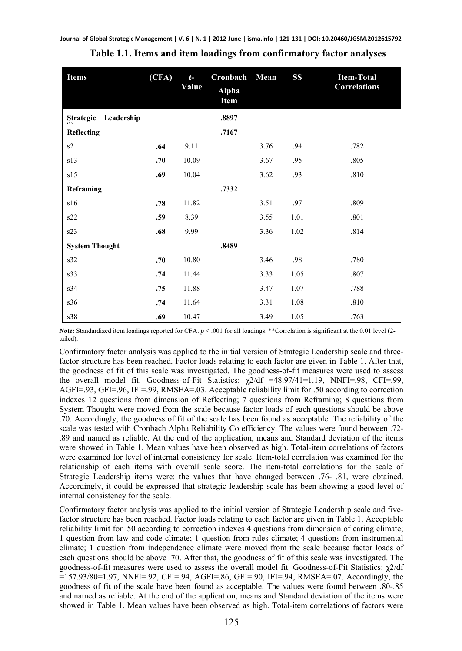| <b>Items</b>                   | (CFA) | $t-$<br>Value | Cronbach<br><b>Alpha</b><br>Item | Mean | <b>SS</b> | <b>Item-Total</b><br><b>Correlations</b> |
|--------------------------------|-------|---------------|----------------------------------|------|-----------|------------------------------------------|
| <b>Strategic</b><br>Leadership |       |               | .8897                            |      |           |                                          |
| Reflecting                     |       |               | .7167                            |      |           |                                          |
| s2                             | .64   | 9.11          |                                  | 3.76 | .94       | .782                                     |
| s13                            | .70   | 10.09         |                                  | 3.67 | .95       | .805                                     |
| s15                            | .69   | 10.04         |                                  | 3.62 | .93       | .810                                     |
| Reframing                      |       |               | .7332                            |      |           |                                          |
| s16                            | .78   | 11.82         |                                  | 3.51 | .97       | .809                                     |
| s22                            | .59   | 8.39          |                                  | 3.55 | 1.01      | .801                                     |
| s23                            | .68   | 9.99          |                                  | 3.36 | 1.02      | .814                                     |
| <b>System Thought</b>          |       |               | .8489                            |      |           |                                          |
| s32                            | .70   | 10.80         |                                  | 3.46 | .98       | .780                                     |
| s33                            | .74   | 11.44         |                                  | 3.33 | 1.05      | .807                                     |
| s34                            | .75   | 11.88         |                                  | 3.47 | 1.07      | .788                                     |
| s36                            | .74   | 11.64         |                                  | 3.31 | 1.08      | .810                                     |
| s38                            | .69   | 10.47         |                                  | 3.49 | 1.05      | .763                                     |

#### **Table 1.1. Items and item loadings from confirmatory factor analyses**

*Note***:** Standardized item loadings reported for CFA. *p* < .001 for all loadings. \*\*Correlation is significant at the 0.01 level (2 tailed).

Confirmatory factor analysis was applied to the initial version of Strategic Leadership scale and threefactor structure has been reached. Factor loads relating to each factor are given in Table 1. After that, the goodness of fit of this scale was investigated. The goodness-of-fit measures were used to assess the overall model fit. Goodness-of-Fit Statistics:  $\chi$ 2/df =48.97/41=1.19, NNFI=.98, CFI=.99, AGFI=.93, GFI=.96, IFI=.99, RMSEA=.03. Acceptable reliability limit for .50 according to correction indexes 12 questions from dimension of Reflecting; 7 questions from Reframing; 8 questions from System Thought were moved from the scale because factor loads of each questions should be above .70. Accordingly, the goodness of fit of the scale has been found as acceptable. The reliability of the scale was tested with Cronbach Alpha Reliability Co efficiency. The values were found between .72- .89 and named as reliable. At the end of the application, means and Standard deviation of the items were showed in Table 1. Mean values have been observed as high. Total-item correlations of factors were examined for level of internal consistency for scale. Item-total correlation was examined for the relationship of each items with overall scale score. The item-total correlations for the scale of Strategic Leadership items were: the values that have changed between .76- .81, were obtained. Accordingly, it could be expressed that strategic leadership scale has been showing a good level of internal consistency for the scale.

Confirmatory factor analysis was applied to the initial version of Strategic Leadership scale and fivefactor structure has been reached. Factor loads relating to each factor are given in Table 1. Acceptable reliability limit for .50 according to correction indexes 4 questions from dimension of caring climate; 1 question from law and code climate; 1 question from rules climate; 4 questions from instrumental climate; 1 question from independence climate were moved from the scale because factor loads of each questions should be above .70. After that, the goodness of fit of this scale was investigated. The goodness-of-fit measures were used to assess the overall model fit. Goodness-of-Fit Statistics: χ2/df =157.93/80=1.97, NNFI=.92, CFI=.94, AGFI=.86, GFI=.90, IFI=.94, RMSEA=.07. Accordingly, the goodness of fit of the scale have been found as acceptable. The values were found between .80-.85 and named as reliable. At the end of the application, means and Standard deviation of the items were showed in Table 1. Mean values have been observed as high. Total-item correlations of factors were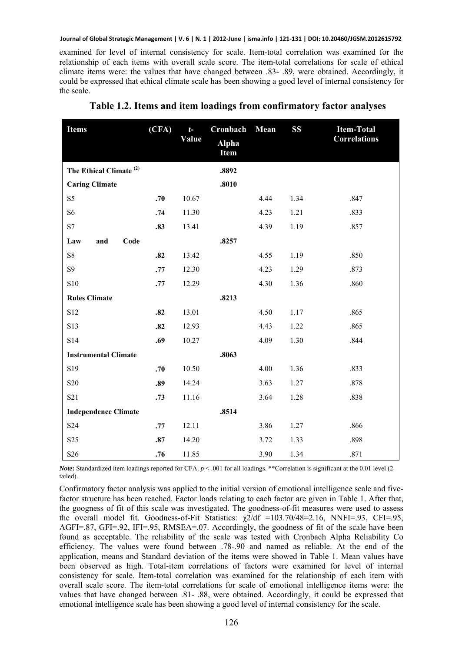examined for level of internal consistency for scale. Item-total correlation was examined for the relationship of each items with overall scale score. The item-total correlations for scale of ethical climate items were: the values that have changed between .83- .89, were obtained. Accordingly, it could be expressed that ethical climate scale has been showing a good level of internal consistency for the scale.

| <b>Items</b>                       | (CFA) | $t-$<br>Value | Cronbach<br><b>Alpha</b><br>Item | Mean | <b>SS</b> | <b>Item-Total</b><br><b>Correlations</b> |
|------------------------------------|-------|---------------|----------------------------------|------|-----------|------------------------------------------|
| The Ethical Climate <sup>(2)</sup> |       |               | .8892                            |      |           |                                          |
| <b>Caring Climate</b>              |       |               | .8010                            |      |           |                                          |
| S <sub>5</sub>                     | .70   | 10.67         |                                  | 4.44 | 1.34      | .847                                     |
| S <sub>6</sub>                     | .74   | 11.30         |                                  | 4.23 | 1.21      | .833                                     |
| S7                                 | .83   | 13.41         |                                  | 4.39 | 1.19      | .857                                     |
| Law<br>and<br>Code                 |       |               | .8257                            |      |           |                                          |
| ${\rm S}8$                         | .82   | 13.42         |                                  | 4.55 | 1.19      | .850                                     |
| S9                                 | .77   | 12.30         |                                  | 4.23 | 1.29      | .873                                     |
| S10                                | .77   | 12.29         |                                  | 4.30 | 1.36      | .860                                     |
| <b>Rules Climate</b>               |       |               | .8213                            |      |           |                                          |
| S12                                | .82   | 13.01         |                                  | 4.50 | 1.17      | .865                                     |
| S13                                | .82   | 12.93         |                                  | 4.43 | 1.22      | .865                                     |
| S14                                | .69   | 10.27         |                                  | 4.09 | 1.30      | .844                                     |
| <b>Instrumental Climate</b>        |       |               | .8063                            |      |           |                                          |
| S <sub>19</sub>                    | .70   | 10.50         |                                  | 4.00 | 1.36      | .833                                     |
| S <sub>20</sub>                    | .89   | 14.24         |                                  | 3.63 | 1.27      | .878                                     |
| S <sub>21</sub>                    | .73   | 11.16         |                                  | 3.64 | 1.28      | .838                                     |
| <b>Independence Climate</b>        |       |               | .8514                            |      |           |                                          |
| S <sub>24</sub>                    | .77   | 12.11         |                                  | 3.86 | 1.27      | .866                                     |
| S <sub>25</sub>                    | .87   | 14.20         |                                  | 3.72 | 1.33      | .898                                     |
| S <sub>26</sub>                    | .76   | 11.85         |                                  | 3.90 | 1.34      | .871                                     |

**Table 1.2. Items and item loadings from confirmatory factor analyses** 

*Note*: Standardized item loadings reported for CFA.  $p < .001$  for all loadings. \*\*Correlation is significant at the 0.01 level (2tailed).

Confirmatory factor analysis was applied to the initial version of emotional intelligence scale and fivefactor structure has been reached. Factor loads relating to each factor are given in Table 1. After that, the googness of fit of this scale was investigated. The goodness-of-fit measures were used to assess the overall model fit. Goodness-of-Fit Statistics:  $\chi$ 2/df =103.70/48=2.16, NNFI=.93, CFI=.95, AGFI=.87, GFI=.92, IFI=.95, RMSEA=.07. Accordingly, the goodness of fit of the scale have been found as acceptable. The reliability of the scale was tested with Cronbach Alpha Reliability Co efficiency. The values were found between .78-.90 and named as reliable. At the end of the application, means and Standard deviation of the items were showed in Table 1. Mean values have been observed as high. Total-item correlations of factors were examined for level of internal consistency for scale. Item-total correlation was examined for the relationship of each item with overall scale score. The item-total correlations for scale of emotional intelligence items were: the values that have changed between .81- .88, were obtained. Accordingly, it could be expressed that emotional intelligence scale has been showing a good level of internal consistency for the scale.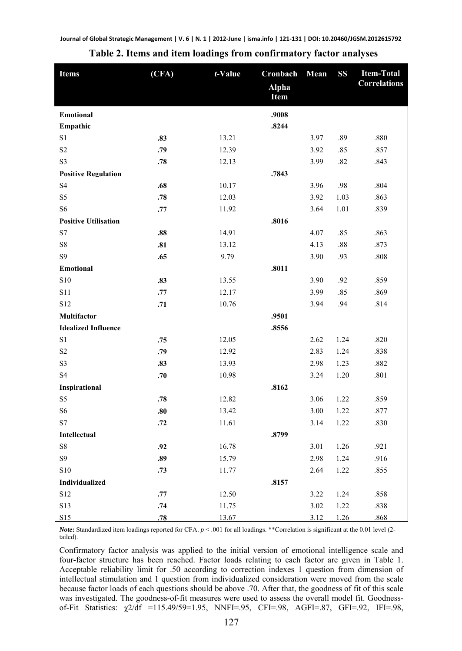| <b>Items</b>                | (CFA) | $t$ -Value | Cronbach             | Mean | <b>SS</b> | <b>Item-Total</b><br><b>Correlations</b> |
|-----------------------------|-------|------------|----------------------|------|-----------|------------------------------------------|
|                             |       |            | <b>Alpha</b><br>Item |      |           |                                          |
| <b>Emotional</b>            |       |            | .9008                |      |           |                                          |
| Empathic                    |       |            | .8244                |      |           |                                          |
| S1                          | .83   | 13.21      |                      | 3.97 | .89       | .880                                     |
| S <sub>2</sub>              | .79   | 12.39      |                      | 3.92 | .85       | .857                                     |
| S <sub>3</sub>              | .78   | 12.13      |                      | 3.99 | .82       | .843                                     |
| <b>Positive Regulation</b>  |       |            | .7843                |      |           |                                          |
| <b>S4</b>                   | .68   | 10.17      |                      | 3.96 | .98       | .804                                     |
| S5                          | .78   | 12.03      |                      | 3.92 | 1.03      | .863                                     |
| S <sub>6</sub>              | .77   | 11.92      |                      | 3.64 | 1.01      | .839                                     |
| <b>Positive Utilisation</b> |       |            | .8016                |      |           |                                          |
| S7                          | .88   | 14.91      |                      | 4.07 | .85       | .863                                     |
| ${\rm S}8$                  | .81   | 13.12      |                      | 4.13 | $.88\,$   | .873                                     |
| S9                          | .65   | 9.79       |                      | 3.90 | .93       | .808                                     |
| <b>Emotional</b>            |       |            | .8011                |      |           |                                          |
| <b>S10</b>                  | .83   | 13.55      |                      | 3.90 | .92       | .859                                     |
| S11                         | .77   | 12.17      |                      | 3.99 | .85       | .869                                     |
| S12                         | .71   | 10.76      |                      | 3.94 | .94       | .814                                     |
| Multifactor                 |       |            | .9501                |      |           |                                          |
| <b>Idealized Influence</b>  |       |            | .8556                |      |           |                                          |
| S1                          | .75   | 12.05      |                      | 2.62 | 1.24      | .820                                     |
| S <sub>2</sub>              | .79   | 12.92      |                      | 2.83 | 1.24      | .838                                     |
| S3                          | .83   | 13.93      |                      | 2.98 | 1.23      | .882                                     |
| <b>S4</b>                   | .70   | 10.98      |                      | 3.24 | 1.20      | .801                                     |
| Inspirational               |       |            | .8162                |      |           |                                          |
| S <sub>5</sub>              | .78   | 12.82      |                      | 3.06 | 1.22      | .859                                     |
| S <sub>6</sub>              | .80   | 13.42      |                      | 3.00 | 1.22      | .877                                     |
| S7                          | .72   | 11.61      |                      | 3.14 | 1.22      | .830                                     |
| Intellectual                |       |            | .8799                |      |           |                                          |
| ${\rm S}8$                  | .92   | 16.78      |                      | 3.01 | 1.26      | .921                                     |
| S9                          | .89   | 15.79      |                      | 2.98 | 1.24      | .916                                     |
| <b>S10</b>                  | .73   | 11.77      |                      | 2.64 | 1.22      | .855                                     |
| Individualized              |       |            | .8157                |      |           |                                          |
| S12                         | .77   | 12.50      |                      | 3.22 | 1.24      | .858                                     |
| S13                         | .74   | 11.75      |                      | 3.02 | 1.22      | .838                                     |
| S15                         | .78   | 13.67      |                      | 3.12 | 1.26      | .868                                     |

**Table 2. Items and item loadings from confirmatory factor analyses** 

*Note***:** Standardized item loadings reported for CFA. *p* < .001 for all loadings. \*\*Correlation is significant at the 0.01 level (2 tailed).

Confirmatory factor analysis was applied to the initial version of emotional intelligence scale and four-factor structure has been reached. Factor loads relating to each factor are given in Table 1. Acceptable reliability limit for .50 according to correction indexes 1 question from dimension of intellectual stimulation and 1 question from individualized consideration were moved from the scale because factor loads of each questions should be above .70. After that, the goodness of fit of this scale was investigated. The goodness-of-fit measures were used to assess the overall model fit. Goodnessof-Fit Statistics: χ2/df =115.49/59=1.95, NNFI=.95, CFI=.98, AGFI=.87, GFI=.92, IFI=.98,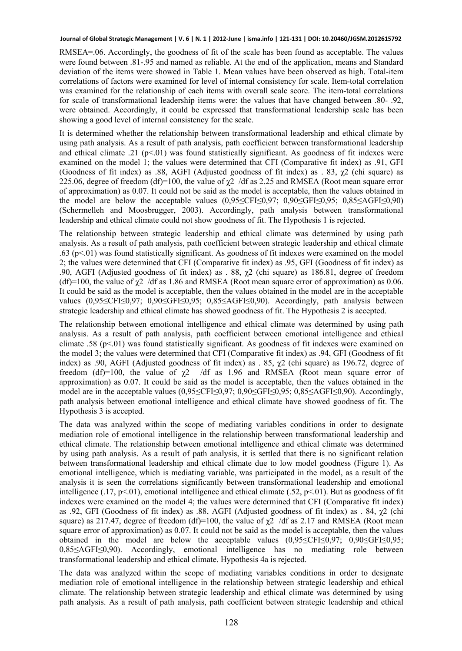RMSEA=.06. Accordingly, the goodness of fit of the scale has been found as acceptable. The values were found between .81-.95 and named as reliable. At the end of the application, means and Standard deviation of the items were showed in Table 1. Mean values have been observed as high. Total-item correlations of factors were examined for level of internal consistency for scale. Item-total correlation was examined for the relationship of each items with overall scale score. The item-total correlations for scale of transformational leadership items were: the values that have changed between .80- .92, were obtained. Accordingly, it could be expressed that transformational leadership scale has been showing a good level of internal consistency for the scale.

It is determined whether the relationship between transformational leadership and ethical climate by using path analysis. As a result of path analysis, path coefficient between transformational leadership and ethical climate .21 ( $p<01$ ) was found statistically significant. As goodness of fit indexes were examined on the model 1; the values were determined that CFI (Comparative fit index) as .91, GFI (Goodness of fit index) as .88, AGFI (Adjusted goodness of fit index) as .83,  $\chi$ 2 (chi square) as 225.06, degree of freedom (df)=100, the value of  $\chi$ 2 /df as 2.25 and RMSEA (Root mean square error of approximation) as 0.07. It could not be said as the model is acceptable, then the values obtained in the model are below the acceptable values (0,95≤CFI≤0,97; 0,90≤GFI≤0,95; 0,85≤AGFI≤0,90) (Schermelleh and Moosbrugger, 2003). Accordingly, path analysis between transformational leadership and ethical climate could not show goodness of fit. The Hypothesis 1 is rejected.

The relationship between strategic leadership and ethical climate was determined by using path analysis. As a result of path analysis, path coefficient between strategic leadership and ethical climate .63 (p<.01) was found statistically significant. As goodness of fit indexes were examined on the model 2; the values were determined that CFI (Comparative fit index) as .95, GFI (Goodness of fit index) as .90, AGFI (Adjusted goodness of fit index) as . 88,  $\chi$ 2 (chi square) as 186.81, degree of freedom (df)=100, the value of  $\chi$ 2 /df as 1.86 and RMSEA (Root mean square error of approximation) as 0.06. It could be said as the model is acceptable, then the values obtained in the model are in the acceptable values (0,95≤CFI≤0,97; 0,90≤GFI≤0,95; 0,85≤AGFI≤0,90). Accordingly, path analysis between strategic leadership and ethical climate has showed goodness of fit. The Hypothesis 2 is accepted.

The relationship between emotional intelligence and ethical climate was determined by using path analysis. As a result of path analysis, path coefficient between emotional intelligence and ethical climate .58 ( $p<.01$ ) was found statistically significant. As goodness of fit indexes were examined on the model 3; the values were determined that CFI (Comparative fit index) as .94, GFI (Goodness of fit index) as .90, AGFI (Adjusted goodness of fit index) as .85,  $\chi$ 2 (chi square) as 196.72, degree of freedom (df)=100, the value of  $\chi$ 2 /df as 1.96 and RMSEA (Root mean square error of approximation) as 0.07. It could be said as the model is acceptable, then the values obtained in the model are in the acceptable values (0,95≤CFI≤0,97; 0,90≤GFI≤0,95; 0,85≤AGFI≤0,90). Accordingly, path analysis between emotional intelligence and ethical climate have showed goodness of fit. The Hypothesis 3 is accepted.

The data was analyzed within the scope of mediating variables conditions in order to designate mediation role of emotional intelligence in the relationship between transformational leadership and ethical climate. The relationship between emotional intelligence and ethical climate was determined by using path analysis. As a result of path analysis, it is settled that there is no significant relation between transformational leadership and ethical climate due to low model goodness (Figure 1). As emotional intelligence, which is mediating variable, was participated in the model, as a result of the analysis it is seen the correlations significantly between transformational leadership and emotional intelligence (.17, p<.01), emotional intelligence and ethical climate (.52, p<.01). But as goodness of fit indexes were examined on the model 4; the values were determined that CFI (Comparative fit index) as .92, GFI (Goodness of fit index) as .88, AGFI (Adjusted goodness of fit index) as . 84, χ2 (chi square) as 217.47, degree of freedom (df)=100, the value of  $\chi$ 2 /df as 2.17 and RMSEA (Root mean square error of approximation) as 0.07. It could not be said as the model is acceptable, then the values obtained in the model are below the acceptable values (0,95≤CFI≤0,97; 0,90≤GFI≤0,95; 0,85≤AGFI≤0,90). Accordingly, emotional intelligence has no mediating role between transformational leadership and ethical climate. Hypothesis 4a is rejected.

The data was analyzed within the scope of mediating variables conditions in order to designate mediation role of emotional intelligence in the relationship between strategic leadership and ethical climate. The relationship between strategic leadership and ethical climate was determined by using path analysis. As a result of path analysis, path coefficient between strategic leadership and ethical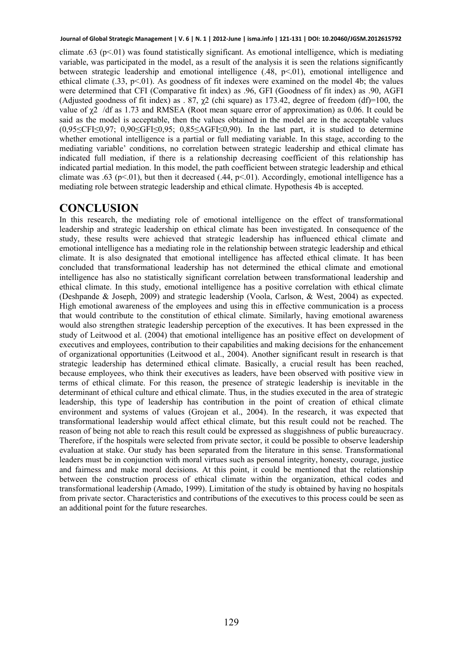climate .63 ( $p$ <.01) was found statistically significant. As emotional intelligence, which is mediating variable, was participated in the model, as a result of the analysis it is seen the relations significantly between strategic leadership and emotional intelligence  $(.48, p<.01)$ , emotional intelligence and ethical climate  $(.33, p<.01)$ . As goodness of fit indexes were examined on the model 4b; the values were determined that CFI (Comparative fit index) as .96, GFI (Goodness of fit index) as .90, AGFI (Adjusted goodness of fit index) as . 87,  $\chi$ 2 (chi square) as 173.42, degree of freedom (df)=100, the value of  $\chi$ <sup>2</sup> /df as 1.73 and RMSEA (Root mean square error of approximation) as 0.06. It could be said as the model is acceptable, then the values obtained in the model are in the acceptable values (0,95≤CFI≤0,97; 0,90≤GFI≤0,95; 0,85≤AGFI≤0,90). In the last part, it is studied to determine whether emotional intelligence is a partial or full mediating variable. In this stage, according to the mediating variable' conditions, no correlation between strategic leadership and ethical climate has indicated full mediation, if there is a relationship decreasing coefficient of this relationship has indicated partial mediation. In this model, the path coefficient between strategic leadership and ethical climate was .63 (p<.01), but then it decreased (.44, p<.01). Accordingly, emotional intelligence has a mediating role between strategic leadership and ethical climate. Hypothesis 4b is accepted.

### **CONCLUSION**

In this research, the mediating role of emotional intelligence on the effect of transformational leadership and strategic leadership on ethical climate has been investigated. In consequence of the study, these results were achieved that strategic leadership has influenced ethical climate and emotional intelligence has a mediating role in the relationship between strategic leadership and ethical climate. It is also designated that emotional intelligence has affected ethical climate. It has been concluded that transformational leadership has not determined the ethical climate and emotional intelligence has also no statistically significant correlation between transformational leadership and ethical climate. In this study, emotional intelligence has a positive correlation with ethical climate (Deshpande & Joseph, 2009) and strategic leadership (Voola, Carlson, & West, 2004) as expected. High emotional awareness of the employees and using this in effective communication is a process that would contribute to the constitution of ethical climate. Similarly, having emotional awareness would also strengthen strategic leadership perception of the executives. It has been expressed in the study of Leitwood et al. (2004) that emotional intelligence has an positive effect on development of executives and employees, contribution to their capabilities and making decisions for the enhancement of organizational opportunities (Leitwood et al., 2004). Another significant result in research is that strategic leadership has determined ethical climate. Basically, a crucial result has been reached, because employees, who think their executives as leaders, have been observed with positive view in terms of ethical climate. For this reason, the presence of strategic leadership is inevitable in the determinant of ethical culture and ethical climate. Thus, in the studies executed in the area of strategic leadership, this type of leadership has contribution in the point of creation of ethical climate environment and systems of values (Grojean et al., 2004). In the research, it was expected that transformational leadership would affect ethical climate, but this result could not be reached. The reason of being not able to reach this result could be expressed as sluggishness of public bureaucracy. Therefore, if the hospitals were selected from private sector, it could be possible to observe leadership evaluation at stake. Our study has been separated from the literature in this sense. Transformational leaders must be in conjunction with moral virtues such as personal integrity, honesty, courage, justice and fairness and make moral decisions. At this point, it could be mentioned that the relationship between the construction process of ethical climate within the organization, ethical codes and transformational leadership (Amado, 1999). Limitation of the study is obtained by having no hospitals from private sector. Characteristics and contributions of the executives to this process could be seen as an additional point for the future researches.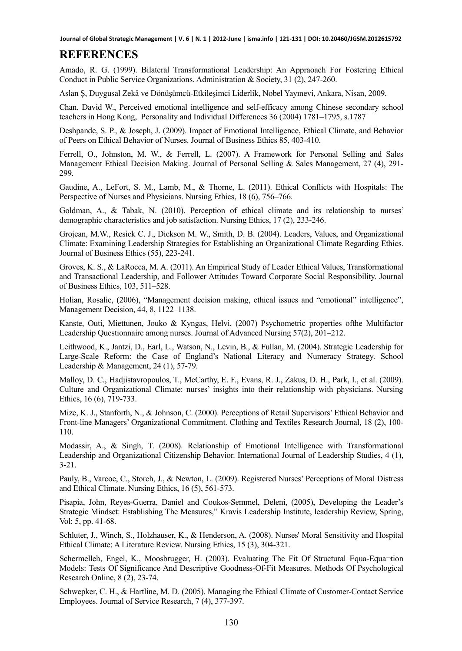# **REFERENCES**

Amado, R. G. (1999). Bilateral Transformational Leadership: An Appraoach For Fostering Ethical Conduct in Public Service Organizations. Administration & Society, 31 (2), 247-260.

Aslan Ş, Duygusal Zekâ ve Dönüşümcü-Etkileşimci Liderlik, Nobel Yayınevi, Ankara, Nisan, 2009.

Chan, David W., Perceived emotional intelligence and self-efficacy among Chinese secondary school teachers in Hong Kong, Personality and Individual Differences 36 (2004) 1781–1795, s.1787

Deshpande, S. P., & Joseph, J. (2009). Impact of Emotional Intelligence, Ethical Climate, and Behavior of Peers on Ethical Behavior of Nurses. Journal of Business Ethics 85, 403-410.

Ferrell, O., Johnston, M. W., & Ferrell, L. (2007). A Framework for Personal Selling and Sales Management Ethical Decision Making. Journal of Personal Selling & Sales Management, 27 (4), 291- 299.

Gaudine, A., LeFort, S. M., Lamb, M., & Thorne, L. (2011). Ethical Conflicts with Hospitals: The Perspective of Nurses and Physicians. Nursing Ethics, 18 (6), 756–766.

Goldman, A., & Tabak, N. (2010). Perception of ethical climate and its relationship to nurses' demographic characteristics and job satisfaction. Nursing Ethics, 17 (2), 233-246.

Grojean, M.W., Resick C. J., Dickson M. W., Smith, D. B. (2004). Leaders, Values, and Organizational Climate: Examining Leadership Strategies for Establishing an Organizational Climate Regarding Ethics. Journal of Business Ethics (55), 223-241.

Groves, K. S., & LaRocca, M. A. (2011). An Empirical Study of Leader Ethical Values, Transformational and Transactional Leadership, and Follower Attitudes Toward Corporate Social Responsibility. Journal of Business Ethics, 103, 511–528.

Holian, Rosalie, (2006), "Management decision making, ethical issues and "emotional" intelligence", Management Decision, 44, 8, 1122–1138.

Kanste, Outi, Miettunen, Jouko & Kyngas, Helvi, (2007) Psychometric properties ofthe Multifactor Leadership Questionnaire among nurses. Journal of Advanced Nursing 57(2), 201–212.

Leithwood, K., Jantzi, D., Earl, L., Watson, N., Levin, B., & Fullan, M. (2004). Strategic Leadership for Large-Scale Reform: the Case of England's National Literacy and Numeracy Strategy. School Leadership & Management, 24 (1), 57-79.

Malloy, D. C., Hadjistavropoulos, T., McCarthy, E. F., Evans, R. J., Zakus, D. H., Park, I., et al. (2009). Culture and Organizational Climate: nurses' insights into their relationship with physicians. Nursing Ethics, 16 (6), 719-733.

Mize, K. J., Stanforth, N., & Johnson, C. (2000). Perceptions of Retail Supervisors' Ethical Behavior and Front-line Managers' Organizational Commitment. Clothing and Textiles Research Journal, 18 (2), 100- 110.

Modassir, A., & Singh, T. (2008). Relationship of Emotional Intelligence with Transformational Leadership and Organizational Citizenship Behavior. International Journal of Leadership Studies, 4 (1), 3-21.

Pauly, B., Varcoe, C., Storch, J., & Newton, L. (2009). Registered Nurses' Perceptions of Moral Distress and Ethical Climate. Nursing Ethics, 16 (5), 561-573.

Pisapia, John, Reyes-Guerra, Daniel and Coukos-Semmel, Deleni, (2005), Developing the Leader's Strategic Mindset: Establishing The Measures," Kravis Leadership Institute, leadership Review, Spring, Vol: 5, pp. 41-68.

Schluter, J., Winch, S., Holzhauser, K., & Henderson, A. (2008). Nurses' Moral Sensitivity and Hospital Ethical Climate: A Literature Review. Nursing Ethics, 15 (3), 304-321.

Schermelleh, Engel, K., Moosbrugger, H. (2003). Evaluating The Fit Of Structural Equa-Equa¬tion Models: Tests Of Significance And Descriptive Goodness-Of-Fit Measures. Methods Of Psychological Research Online, 8 (2), 23-74.

Schwepker, C. H., & Hartline, M. D. (2005). Managing the Ethical Climate of Customer-Contact Service Employees. Journal of Service Research, 7 (4), 377-397.